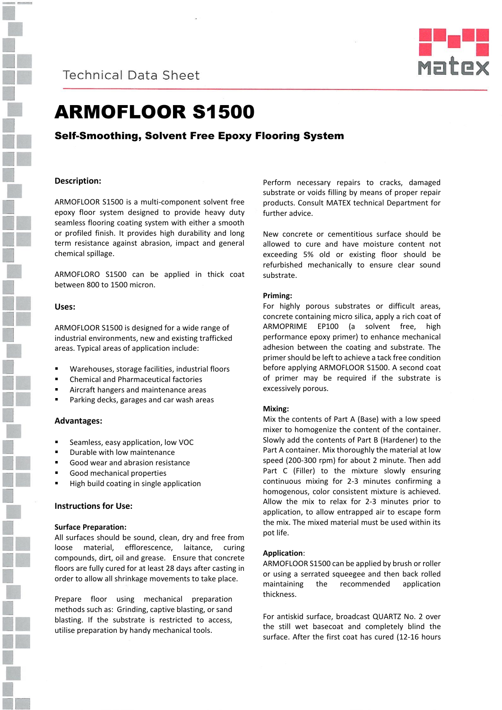

**Technical Data Sheet** 



# ARMOFLOOR S1500

## Self-Smoothing, Solvent Free Epoxy Flooring System

### **Description:**

ARMOFLOOR S1500 is a multi-component solvent free epoxy floor system designed to provide heavy duty seamless flooring coating system with either a smooth or profiled finish. It provides high durability and long term resistance against abrasion, impact and general chemical spillage.

ARMOFLORO S1500 can be applied in thick coat between 800 to 1500 micron.

### **Uses:**

ARMOFLOOR S1500 is designed for a wide range of industrial environments, new and existing trafficked areas. Typical areas of application include:

- Warehouses, storage facilities, industrial floors
- Chemical and Pharmaceutical factories
- Aircraft hangers and maintenance areas
- Parking decks, garages and car wash areas

### **Advantages:**

- Seamless, easy application, low VOC
- Durable with low maintenance
- Good wear and abrasion resistance
- Good mechanical properties
- High build coating in single application

### **Instructions for Use:**

### **Surface Preparation:**

All surfaces should be sound, clean, dry and free from loose material, efflorescence, laitance, curing compounds, dirt, oil and grease. Ensure that concrete floors are fully cured for at least 28 days after casting in order to allow all shrinkage movements to take place.

Prepare floor using mechanical preparation methods such as: Grinding, captive blasting, or sand blasting. If the substrate is restricted to access, utilise preparation by handy mechanical tools.

Perform necessary repairs to cracks, damaged substrate or voids filling by means of proper repair products. Consult MATEX technical Department for further advice.

New concrete or cementitious surface should be allowed to cure and have moisture content not exceeding 5% old or existing floor should be refurbished mechanically to ensure clear sound substrate.

### **Priming:**

For highly porous substrates or difficult areas, concrete containing micro silica, apply a rich coat of ARMOPRIME EP100 (a solvent free, high performance epoxy primer) to enhance mechanical adhesion between the coating and substrate. The primer should be left to achieve a tack free condition before applying ARMOFLOOR S1500. A second coat of primer may be required if the substrate is excessively porous.

### **Mixing:**

Mix the contents of Part A (Base) with a low speed mixer to homogenize the content of the container. Slowly add the contents of Part B (Hardener) to the Part A container. Mix thoroughly the material at low speed (200-300 rpm) for about 2 minute. Then add Part C (Filler) to the mixture slowly ensuring continuous mixing for 2-3 minutes confirming a homogenous, color consistent mixture is achieved. Allow the mix to relax for 2-3 minutes prior to application, to allow entrapped air to escape form the mix. The mixed material must be used within its pot life.

### **Application**:

ARMOFLOOR S1500 can be applied by brush or roller or using a serrated squeegee and then back rolled maintaining the recommended application thickness.

For antiskid surface, broadcast QUARTZ No. 2 over the still wet basecoat and completely blind the surface. After the first coat has cured (12-16 hours